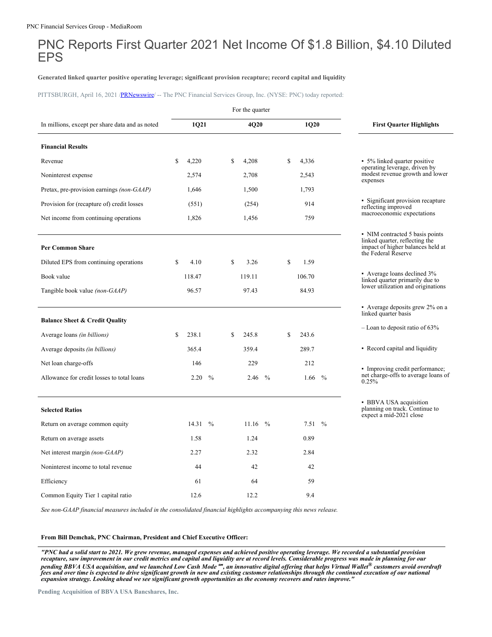# PNC Reports First Quarter 2021 Net Income Of \$1.8 Billion, \$4.10 Diluted EPS

## **Generated linked quarter positive operating leverage; significant provision recapture; record capital and liquidity**

PITTSBURGH, April 16, 2021 [/PRNewswire](http://www.prnewswire.com/)/ -- The PNC Financial Services Group, Inc. (NYSE: PNC) today reported:

|                                                 |    |        |               |    | For the quarter |      |    |          |      |                                                                                                                               |
|-------------------------------------------------|----|--------|---------------|----|-----------------|------|----|----------|------|-------------------------------------------------------------------------------------------------------------------------------|
| In millions, except per share data and as noted |    | 1Q21   |               |    | 4Q20            |      |    | 1Q20     |      | <b>First Quarter Highlights</b>                                                                                               |
| <b>Financial Results</b>                        |    |        |               |    |                 |      |    |          |      |                                                                                                                               |
| Revenue                                         | S  | 4,220  |               | S  | 4,208           |      | \$ | 4,336    |      | • 5% linked quarter positive                                                                                                  |
| Noninterest expense                             |    | 2,574  |               |    | 2,708           |      |    | 2,543    |      | operating leverage, driven by<br>modest revenue growth and lower<br>expenses                                                  |
| Pretax, pre-provision earnings (non-GAAP)       |    | 1,646  |               |    | 1,500           |      |    | 1,793    |      |                                                                                                                               |
| Provision for (recapture of) credit losses      |    | (551)  |               |    | (254)           |      |    | 914      |      | • Significant provision recapture<br>reflecting improved                                                                      |
| Net income from continuing operations.          |    | 1,826  |               |    | 1,456           |      |    | 759      |      | macroeconomic expectations                                                                                                    |
| Per Common Share                                |    |        |               |    |                 |      |    |          |      | • NIM contracted 5 basis points<br>linked quarter, reflecting the<br>impact of higher balances held at<br>the Federal Reserve |
| Diluted EPS from continuing operations          | S  | 4.10   |               | \$ | 3.26            |      | S  | 1.59     |      |                                                                                                                               |
| Book value                                      |    | 118.47 |               |    | 119.11          |      |    | 106.70   |      | • Average loans declined 3%<br>linked quarter primarily due to                                                                |
| Tangible book value <i>(non-GAAP)</i>           |    | 96.57  |               |    | 97.43           |      |    | 84.93    |      | lower utilization and originations                                                                                            |
|                                                 |    |        |               |    |                 |      |    |          |      | • Average deposits grew 2% on a<br>linked quarter basis                                                                       |
| <b>Balance Sheet &amp; Credit Quality</b>       |    |        |               |    |                 |      |    |          |      | $-$ Loan to deposit ratio of 63%                                                                                              |
| Average loans <i>(in billions)</i>              | -S | 238.1  |               | \$ | 245.8           |      | \$ | 243.6    |      |                                                                                                                               |
| Average deposits (in billions)                  |    | 365.4  |               |    | 359.4           |      |    | 289.7    |      | • Record capital and liquidity                                                                                                |
| Net loan charge-offs                            |    | 146    |               |    | 229             |      |    | 212      |      | • Improving credit performance;                                                                                               |
| Allowance for credit losses to total loans      |    | 2.20   | $\%$          |    | 2.46            | $\%$ |    | 1.66     | $\%$ | net charge-offs to average loans of<br>0.25%                                                                                  |
| <b>Selected Ratios</b>                          |    |        |               |    |                 |      |    |          |      | • BBVA USA acquisition<br>planning on track. Continue to<br>expect a mid-2021 close                                           |
| Return on average common equity                 |    | 14.31  | $\frac{0}{0}$ |    | $11.16\%$       |      |    | $7.51\%$ |      |                                                                                                                               |
| Return on average assets                        |    | 1.58   |               |    | 1.24            |      |    | 0.89     |      |                                                                                                                               |
| Net interest margin (non-GAAP)                  |    | 2.27   |               |    | 2.32            |      |    | 2.84     |      |                                                                                                                               |
| Noninterest income to total revenue             |    | 44     |               |    | 42              |      |    | 42       |      |                                                                                                                               |
| Efficiency                                      |    | 61     |               |    | 64              |      |    | 59       |      |                                                                                                                               |
| Common Equity Tier 1 capital ratio              |    | 12.6   |               |    | 12.2            |      |    | 9.4      |      |                                                                                                                               |

*See non-GAAP financial measures included in the consolidated financial highlights accompanying this news release.*

#### **From Bill Demchak, PNC Chairman, President and Chief Executive Officer:**

"PNC had a solid start to 2021. We grew revenue, managed expenses and achieved positive operating leverage. We recorded a substantial provision recapture, saw improvement in our credit metrics and capital and liquidity are at record levels. Considerable progress was made in planning for our pending BBVA USA acquisition, and we launched Low Cash Mode <sup>su</sup>, an innovative digital offering that helps Virtual Wallet® customers avoid overdraft<br>fees and over time is expected to drive significant growth in new and ex expansion strategy. Looking ahead we see significant growth opportunities as the economy recovers and rates improve."

**Pending Acquisition of BBVA USA Bancshares, Inc.**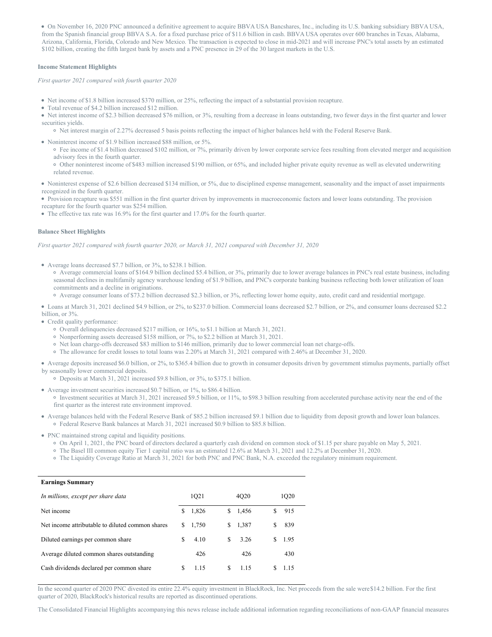On November 16, 2020 PNC announced a definitive agreement to acquire BBVA USA Bancshares, Inc., including its U.S. banking subsidiary BBVA USA, from the Spanish financial group BBVA S.A. for a fixed purchase price of \$11.6 billion in cash. BBVA USA operates over 600 branches in Texas, Alabama, Arizona, California, Florida, Colorado and New Mexico. The transaction is expected to close in mid-2021 and will increase PNC's total assets by an estimated \$102 billion, creating the fifth largest bank by assets and a PNC presence in 29 of the 30 largest markets in the U.S.

#### **Income Statement Highlights**

*First quarter 2021 compared with fourth quarter 2020*

- Net income of \$1.8 billion increased \$370 million, or 25%, reflecting the impact of a substantial provision recapture.
- Total revenue of \$4.2 billion increased \$12 million.
- Net interest income of \$2.3 billion decreased \$76 million, or 3%, resulting from a decrease in loans outstanding, two fewer days in the first quarter and lower securities yields.
- Net interest margin of 2.27% decreased 5 basis points reflecting the impact of higher balances held with the Federal Reserve Bank.
- Noninterest income of \$1.9 billion increased \$88 million, or 5%.
	- Fee income of \$1.4 billion decreased \$102 million, or 7%, primarily driven by lower corporate service fees resulting from elevated merger and acquisition advisory fees in the fourth quarter.
	- Other noninterest income of \$483 million increased \$190 million, or 65%, and included higher private equity revenue as well as elevated underwriting related revenue.

Noninterest expense of \$2.6 billion decreased \$134 million, or 5%, due to disciplined expense management, seasonality and the impact of asset impairments recognized in the fourth quarter.

Provision recapture was \$551 million in the first quarter driven by improvements in macroeconomic factors and lower loans outstanding. The provision recapture for the fourth quarter was \$254 million.

• The effective tax rate was 16.9% for the first quarter and 17.0% for the fourth quarter.

## **Balance Sheet Highlights**

*First quarter 2021 compared with fourth quarter 2020, or March 31, 2021 compared with December 31, 2020*

- Average loans decreased \$7.7 billion, or 3%, to \$238.1 billion.
	- Average commercial loans of \$164.9 billion declined \$5.4 billion, or 3%, primarily due to lower average balances in PNC's real estate business, including seasonal declines in multifamily agency warehouse lending of \$1.9 billion, and PNC's corporate banking business reflecting both lower utilization of loan commitments and a decline in originations.
	- Average consumer loans of \$73.2 billion decreased \$2.3 billion, or 3%, reflecting lower home equity, auto, credit card and residential mortgage.

Loans at March 31, 2021 declined \$4.9 billion, or 2%, to \$237.0 billion. Commercial loans decreased \$2.7 billion, or 2%, and consumer loans decreased \$2.2 billion, or 3%.

- Credit quality performance:
	- Overall delinquencies decreased \$217 million, or 16%, to \$1.1 billion at March 31, 2021.
	- Nonperforming assets decreased \$158 million, or 7%, to \$2.2 billion at March 31, 2021.
	- Net loan charge-offs decreased \$83 million to \$146 million, primarily due to lower commercial loan net charge-offs.
	- The allowance for credit losses to total loans was 2.20% at March 31, 2021 compared with 2.46% at December 31, 2020.
- Average deposits increased \$6.0 billion, or 2%, to \$365.4 billion due to growth in consumer deposits driven by government stimulus payments, partially offset by seasonally lower commercial deposits.
	- Deposits at March 31, 2021 increased \$9.8 billion, or 3%, to \$375.1 billion.
- Average investment securities increased \$0.7 billion, or 1%, to \$86.4 billion.
	- Investment securities at March 31, 2021 increased \$9.5 billion, or 11%, to \$98.3 billion resulting from accelerated purchase activity near the end of the first quarter as the interest rate environment improved.
- Average balances held with the Federal Reserve Bank of \$85.2 billion increased \$9.1 billion due to liquidity from deposit growth and lower loan balances. Federal Reserve Bank balances at March 31, 2021 increased \$0.9 billion to \$85.8 billion.
- PNC maintained strong capital and liquidity positions.
	- On April 1, 2021, the PNC board of directors declared a quarterly cash dividend on common stock of \$1.15 per share payable on May 5, 2021.
	- The Basel III common equity Tier 1 capital ratio was an estimated 12.6% at March 31, 2021 and 12.2% at December 31, 2020.
	- The Liquidity Coverage Ratio at March 31, 2021 for both PNC and PNC Bank, N.A. exceeded the regulatory minimum requirement.

### **Earnings Summary**

| In millions, except per share data               |    | 1Q21  |    | 4020  | 1Q20 |
|--------------------------------------------------|----|-------|----|-------|------|
| Net income                                       | S. | 1,826 | S. | 1,456 | 915  |
| Net income attributable to diluted common shares | S. | 1,750 | S. | 1,387 | 839  |
| Diluted earnings per common share                | S  | 4.10  | S. | 3.26  | 1.95 |
| Average diluted common shares outstanding        |    | 426   |    | 426   | 430  |
| Cash dividends declared per common share         | S  | 1.15  | S. | 1.15  | 1.15 |

In the second quarter of 2020 PNC divested its entire 22.4% equity investment in BlackRock, Inc. Net proceeds from the sale were\$14.2 billion. For the first quarter of 2020, BlackRock's historical results are reported as discontinued operations.

The Consolidated Financial Highlights accompanying this news release include additional information regarding reconciliations of non-GAAP financial measures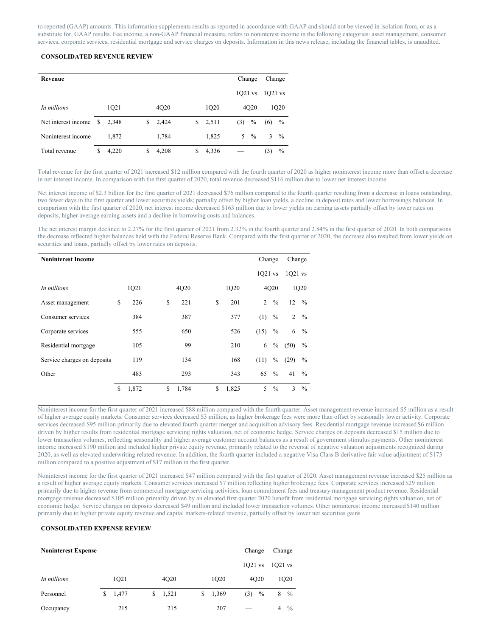to reported (GAAP) amounts. This information supplements results as reported in accordance with GAAP and should not be viewed in isolation from, or as a substitute for, GAAP results. Fee income, a non-GAAP financial measure, refers to noninterest income in the following categories: asset management, consumer services, corporate services, residential mortgage and service charges on deposits. Information in this news release, including the financial tables, is unaudited.

# **CONSOLIDATED REVENUE REVIEW**

| Revenue             |   |       |    |       |    |       |           | Change            |         | Change        |
|---------------------|---|-------|----|-------|----|-------|-----------|-------------------|---------|---------------|
|                     |   |       |    |       |    |       | $1021$ vs |                   | 1021 vs |               |
| In millions         |   | 1Q21  |    | 4Q20  |    | 1Q20  |           | 4O <sub>2</sub> 0 |         | 1Q20          |
| Net interest income | S | 2.348 | S  | 2,424 | \$ | 2,511 | (3)       | $\%$              | (6)     | $\%$          |
| Noninterest income  |   | 1.872 |    | 1,784 |    | 1,825 | 5.        | $\frac{0}{0}$     | 3       | $\frac{0}{0}$ |
| Total revenue       | S | 4,220 | \$ | 4,208 | S  | 4,336 |           |                   | (3)     | $\%$          |

Total revenue for the first quarter of 2021 increased \$12 million compared with the fourth quarter of 2020 as higher noninterest income more than offset a decrease in net interest income. In comparison with the first quarter of 2020, total revenue decreased \$116 million due to lower net interest income.

Net interest income of \$2.3 billion for the first quarter of 2021 decreased \$76 million compared to the fourth quarter resulting from a decrease in loans outstanding, two fewer days in the first quarter and lower securities yields; partially offset by higher loan yields, a decline in deposit rates and lower borrowings balances. In comparison with the first quarter of 2020, net interest income decreased \$163 million due to lower yields on earning assets partially offset by lower rates on deposits, higher average earning assets and a decline in borrowing costs and balances.

The net interest margin declined to 2.27% for the first quarter of 2021 from 2.32% in the fourth quarter and 2.84% in the first quarter of 2020. In both comparisons the decrease reflected higher balances held with the Federal Reserve Bank. Compared with the first quarter of 2020, the decrease also resulted from lower yields on securities and loans, partially offset by lower rates on deposits.

| <b>Noninterest Income</b>   |      |       |    |       |    |       | Change    |               | Change    |                 |
|-----------------------------|------|-------|----|-------|----|-------|-----------|---------------|-----------|-----------------|
|                             |      |       |    |       |    |       | $1Q21$ vs |               | $1Q21$ vs |                 |
| In millions                 | 1Q21 |       |    | 4Q20  |    | 1Q20  |           | 4Q20          |           | 1Q20            |
| Asset management            | S    | 226   | \$ | 221   | S  | 201   | 2         | $\frac{0}{0}$ | 12        | $\frac{0}{0}$   |
| Consumer services           |      | 384   |    | 387   |    | 377   | (1)       | $\%$          |           | $2 \frac{9}{6}$ |
| Corporate services          |      | 555   |    | 650   |    | 526   | (15)      | $\%$          | 6         | $\frac{0}{0}$   |
| Residential mortgage        |      | 105   |    | 99    |    | 210   | 6         | $\%$          | (50)      | $\frac{0}{0}$   |
| Service charges on deposits |      | 119   |    | 134   |    | 168   | (11)      | $\%$          | (29)      | $\frac{0}{0}$   |
| Other                       |      | 483   |    | 293   |    | 343   | 65        | $^{0}/_{0}$   | 41        | $\frac{0}{0}$   |
|                             | \$   | 1,872 | \$ | 1,784 | \$ | 1,825 | 5         | $\%$          | 3         | $\frac{0}{0}$   |

Noninterest income for the first quarter of 2021 increased \$88 million compared with the fourth quarter. Asset management revenue increased \$5 million as a result of higher average equity markets. Consumer services decreased \$3 million, as higher brokerage fees were more than offset by seasonally lower activity. Corporate services decreased \$95 million primarily due to elevated fourth quarter merger and acquisition advisory fees. Residential mortgage revenue increased \$6 million driven by higher results from residential mortgage servicing rights valuation, net of economic hedge. Service charges on deposits decreased \$15 million due to lower transaction volumes, reflecting seasonality and higher average customer account balances as a result of government stimulus payments. Other noninterest income increased \$190 million and included higher private equity revenue, primarily related to the reversal of negative valuation adjustments recognized during 2020, as well as elevated underwriting related revenue. In addition, the fourth quarter included a negative Visa Class B derivative fair value adjustment of \$173 million compared to a positive adjustment of \$17 million in the first quarter.

Noninterest income for the first quarter of 2021 increased \$47 million compared with the first quarter of 2020. Asset management revenue increased \$25 million as a result of higher average equity markets. Consumer services increased \$7 million reflecting higher brokerage fees. Corporate services increased \$29 million primarily due to higher revenue from commercial mortgage servicing activities, loan commitment fees and treasury management product revenue. Residential mortgage revenue decreased \$105 million primarily driven by an elevated first quarter 2020 benefit from residential mortgage servicing rights valuation, net of economic hedge. Service charges on deposits decreased \$49 million and included lower transaction volumes. Other noninterest income increased \$140 million primarily due to higher private equity revenue and capital markets-related revenue, partially offset by lower net securities gains.

#### **CONSOLIDATED EXPENSE REVIEW**

| <b>Noninterest Expense</b> |    |       |             |   |                   | Change    |                  | Change  |               |
|----------------------------|----|-------|-------------|---|-------------------|-----------|------------------|---------|---------------|
|                            |    |       |             |   |                   | $1021$ vs |                  | 1021 vs |               |
| In millions                |    | 1Q21  | 4Q20        |   | 1O <sub>2</sub> 0 |           | 4Q <sub>20</sub> |         | 1Q20          |
| Personnel                  | S. | 1,477 | \$<br>1,521 | S | 1,369             | (3)       | $\%$             | 8       | $\frac{0}{0}$ |
| Occupancy                  |    | 215   | 215         |   | 207               | __        |                  | 4       | $\frac{0}{0}$ |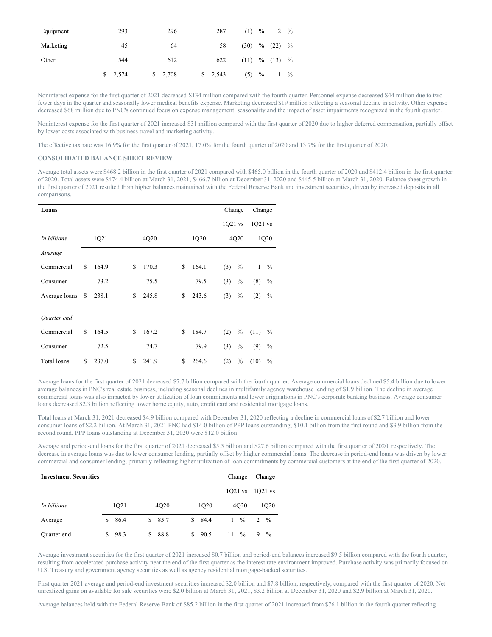| Equipment | 293     | 296     | 287                   | $(1)$ % |      | $2 \frac{9}{6}$   |               |
|-----------|---------|---------|-----------------------|---------|------|-------------------|---------------|
| Marketing | 45      | 64      | 58                    |         |      | $(30)$ % $(22)$   | $\frac{0}{0}$ |
| Other     | 544     | 612     | 622                   |         |      | $(11)$ % $(13)$ % |               |
|           | \$2,574 | \$2,708 | $\frac{1}{2}$ , 2,543 | (5)     | $\%$ |                   | $\frac{0}{0}$ |

Noninterest expense for the first quarter of 2021 decreased \$134 million compared with the fourth quarter. Personnel expense decreased \$44 million due to two fewer days in the quarter and seasonally lower medical benefits expense. Marketing decreased \$19 million reflecting a seasonal decline in activity. Other expense decreased \$68 million due to PNC's continued focus on expense management, seasonality and the impact of asset impairments recognized in the fourth quarter.

Noninterest expense for the first quarter of 2021 increased \$31 million compared with the first quarter of 2020 due to higher deferred compensation, partially offset by lower costs associated with business travel and marketing activity.

The effective tax rate was 16.9% for the first quarter of 2021, 17.0% for the fourth quarter of 2020 and 13.7% for the first quarter of 2020.

# **CONSOLIDATED BALANCE SHEET REVIEW**

Average total assets were \$468.2 billion in the first quarter of 2021 compared with \$465.0 billion in the fourth quarter of 2020 and \$412.4 billion in the first quarter of 2020. Total assets were \$474.4 billion at March 31, 2021, \$466.7 billion at December 31, 2020 and \$445.5 billion at March 31, 2020. Balance sheet growth in the first quarter of 2021 resulted from higher balances maintained with the Federal Reserve Bank and investment securities, driven by increased deposits in all comparisons.

| Loans              |    |       |   |       |    |       | Change    |               | Change    |               |
|--------------------|----|-------|---|-------|----|-------|-----------|---------------|-----------|---------------|
|                    |    |       |   |       |    |       | $1Q21$ vs |               | $1Q21$ vs |               |
| In billions        |    | 1Q21  |   | 4Q20  |    | 1Q20  |           | 4Q20          |           | 1Q20          |
| Average            |    |       |   |       |    |       |           |               |           |               |
| Commercial         | \$ | 164.9 | S | 170.3 | \$ | 164.1 | (3)       | $\frac{0}{0}$ | 1         | $\%$          |
| Consumer           |    | 73.2  |   | 75.5  |    | 79.5  | (3)       | $\%$          | (8)       | $\frac{0}{0}$ |
| Average loans \$   |    | 238.1 | S | 245.8 | S  | 243.6 | (3)       | $\%$          | (2)       | $\frac{0}{0}$ |
| Quarter end        |    |       |   |       |    |       |           |               |           |               |
| Commercial         | S  | 164.5 | S | 167.2 | S  | 184.7 | (2)       | $\%$          | (11)      | $\frac{0}{0}$ |
| Consumer           |    | 72.5  |   | 74.7  |    | 79.9  | (3)       | $\%$          | (9)       | $\frac{0}{0}$ |
| <b>Total</b> loans | S  | 237.0 | S | 241.9 | S  | 264.6 | (2)       | $\%$          | (10)      | $\frac{0}{0}$ |

Average loans for the first quarter of 2021 decreased \$7.7 billion compared with the fourth quarter. Average commercial loans declined \$5.4 billion due to lower average balances in PNC's real estate business, including seasonal declines in multifamily agency warehouse lending of \$1.9 billion. The decline in average commercial loans was also impacted by lower utilization of loan commitments and lower originations in PNC's corporate banking business. Average consumer loans decreased \$2.3 billion reflecting lower home equity, auto, credit card and residential mortgage loans.

Total loans at March 31, 2021 decreased \$4.9 billion compared with December 31, 2020 reflecting a decline in commercial loans of \$2.7 billion and lower consumer loans of \$2.2 billion. At March 31, 2021 PNC had \$14.0 billion of PPP loans outstanding, \$10.1 billion from the first round and \$3.9 billion from the second round. PPP loans outstanding at December 31, 2020 were \$12.0 billion.

Average and period-end loans for the first quarter of 2021 decreased \$5.5 billion and \$27.6 billion compared with the first quarter of 2020, respectively. The decrease in average loans was due to lower consumer lending, partially offset by higher commercial loans. The decrease in period-end loans was driven by lower commercial and consumer lending, primarily reflecting higher utilization of loan commitments by commercial customers at the end of the first quarter of 2020.

| <b>Investment Securities</b> |    |      |                  |    |                   |    | Change          |   | Change        |
|------------------------------|----|------|------------------|----|-------------------|----|-----------------|---|---------------|
|                              |    |      |                  |    |                   |    | $1Q21$ vs       |   | $1021$ vs     |
| In billions                  |    | 1Q21 | 4Q <sub>20</sub> |    | 1O <sub>2</sub> 0 |    | 4020            |   | 1020          |
| Average                      | S. | 86.4 | \$85.7           | S. | 84.4              |    | $1 \frac{0}{0}$ | 2 | $\frac{0}{0}$ |
| Quarter end                  | S. | 98.3 | \$<br>88.8       | \$ | 90.5              | 11 | $\%$            | 9 | $\%$          |

Average investment securities for the first quarter of 2021 increased \$0.7 billion and period-end balances increased \$9.5 billion compared with the fourth quarter, resulting from accelerated purchase activity near the end of the first quarter as the interest rate environment improved. Purchase activity was primarily focused on U.S. Treasury and government agency securities as well as agency residential mortgage-backed securities.

First quarter 2021 average and period-end investment securities increased \$2.0 billion and \$7.8 billion, respectively, compared with the first quarter of 2020. Net unrealized gains on available for sale securities were \$2.0 billion at March 31, 2021, \$3.2 billion at December 31, 2020 and \$2.9 billion at March 31, 2020.

Average balances held with the Federal Reserve Bank of \$85.2 billion in the first quarter of 2021 increased from \$76.1 billion in the fourth quarter reflecting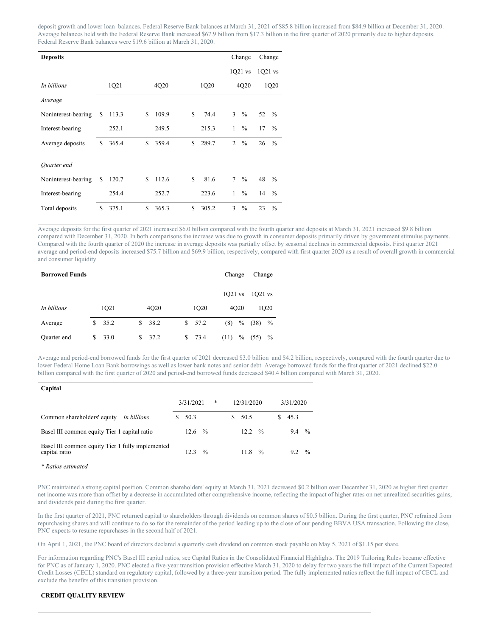deposit growth and lower loan balances. Federal Reserve Bank balances at March 31, 2021 of \$85.8 billion increased from \$84.9 billion at December 31, 2020. Average balances held with the Federal Reserve Bank increased \$67.9 billion from \$17.3 billion in the first quarter of 2020 primarily due to higher deposits. Federal Reserve Bank balances were \$19.6 billion at March 31, 2020.

| <b>Deposits</b>     |   |       |     |       |     |       |                | Change        |           | Change        |
|---------------------|---|-------|-----|-------|-----|-------|----------------|---------------|-----------|---------------|
|                     |   |       |     |       |     |       |                | $1Q21$ vs     | $1Q21$ vs |               |
| In billions         |   | 1Q21  |     | 4Q20  |     | 1Q20  |                | 4Q20          |           | 1Q20          |
| Average             |   |       |     |       |     |       |                |               |           |               |
| Noninterest-bearing | S | 113.3 | S   | 109.9 | \$. | 74.4  | 3              | $\frac{0}{0}$ | 52        | $\frac{0}{0}$ |
| Interest-bearing    |   | 252.1 |     | 249.5 |     | 215.3 | 1              | $\frac{0}{0}$ | 17        | $\frac{0}{0}$ |
| Average deposits    | S | 365.4 | \$  | 359.4 | \$  | 289.7 | $\overline{2}$ | $\frac{0}{0}$ | 26        | $\frac{0}{0}$ |
| Quarter end         |   |       |     |       |     |       |                |               |           |               |
| Noninterest-bearing | S | 120.7 | S   | 112.6 | \$  | 81.6  | 7              | $\%$          | 48        | $\frac{0}{0}$ |
| Interest-bearing    |   | 254.4 |     | 252.7 |     | 223.6 | 1              | $\frac{0}{0}$ | 14        | $\frac{0}{0}$ |
| Total deposits      | S | 375.1 | \$. | 365.3 | \$. | 305.2 | 3              | $\frac{0}{0}$ | 23        | $\frac{0}{0}$ |

Average deposits for the first quarter of 2021 increased \$6.0 billion compared with the fourth quarter and deposits at March 31, 2021 increased \$9.8 billion compared with December 31, 2020. In both comparisons the increase was due to growth in consumer deposits primarily driven by government stimulus payments. Compared with the fourth quarter of 2020 the increase in average deposits was partially offset by seasonal declines in commercial deposits. First quarter 2021 average and period-end deposits increased \$75.7 billion and \$69.9 billion, respectively, compared with first quarter 2020 as a result of overall growth in commercial and consumer liquidity.

| <b>Borrowed Funds</b> |              |      |   |      |            | Change    |                  | Change    |                   |
|-----------------------|--------------|------|---|------|------------|-----------|------------------|-----------|-------------------|
|                       |              |      |   |      |            | $1021$ vs |                  | $1021$ vs |                   |
| In billions           | 4Q20<br>1Q21 |      |   |      | 1Q20       |           | 4Q <sub>20</sub> |           | 1O <sub>2</sub> 0 |
| Average               | S            | 35.2 | S | 38.2 | \$57.2     | (8)       | $\%$             | (38)      | $\frac{0}{0}$     |
| Quarter end           | S            | 33.0 | S | 37.2 | \$<br>73.4 | (11)      | $\%$             | (55)      | $\%$              |

Average and period-end borrowed funds for the first quarter of 2021 decreased \$3.0 billion and \$4.2 billion, respectively, compared with the fourth quarter due to lower Federal Home Loan Bank borrowings as well as lower bank notes and senior debt. Average borrowed funds for the first quarter of 2021 declined \$22.0 billion compared with the first quarter of 2020 and period-end borrowed funds decreased \$40.4 billion compared with March 31, 2020.

| Capital                                          |                |               |               |
|--------------------------------------------------|----------------|---------------|---------------|
|                                                  | *<br>3/31/2021 | 12/31/2020    | 3/31/2020     |
| Common shareholders' equity                      | 50.3           | 50.5          | 45.3          |
| In billions                                      | S              | S             | S.            |
| Basel III common equity Tier 1 capital ratio     | $\frac{0}{0}$  | $\frac{0}{0}$ | $\frac{0}{0}$ |
|                                                  | 12.6           | 12.2          | 9.4           |
| Basel III common equity Tier 1 fully implemented | $\frac{0}{0}$  | $\frac{0}{0}$ | $\frac{0}{0}$ |
| capital ratio                                    | 12.3           | 11.8          | 9.2           |

*\* Ratios estimated*

PNC maintained a strong capital position. Common shareholders' equity at March 31, 2021 decreased \$0.2 billion over December 31, 2020 as higher first quarter net income was more than offset by a decrease in accumulated other comprehensive income, reflecting the impact of higher rates on net unrealized securities gains, and dividends paid during the first quarter.

In the first quarter of 2021, PNC returned capital to shareholders through dividends on common shares of \$0.5 billion. During the first quarter, PNC refrained from repurchasing shares and will continue to do so for the remainder of the period leading up to the close of our pending BBVA USA transaction. Following the close, PNC expects to resume repurchases in the second half of 2021.

On April 1, 2021, the PNC board of directors declared a quarterly cash dividend on common stock payable on May 5, 2021 of \$1.15 per share.

For information regarding PNC's Basel III capital ratios, see Capital Ratios in the Consolidated Financial Highlights. The 2019 Tailoring Rules became effective for PNC as of January 1, 2020. PNC elected a five-year transition provision effective March 31, 2020 to delay for two years the full impact of the Current Expected Credit Losses (CECL) standard on regulatory capital, followed by a three-year transition period. The fully implemented ratios reflect the full impact of CECL and exclude the benefits of this transition provision.

# **CREDIT QUALITY REVIEW**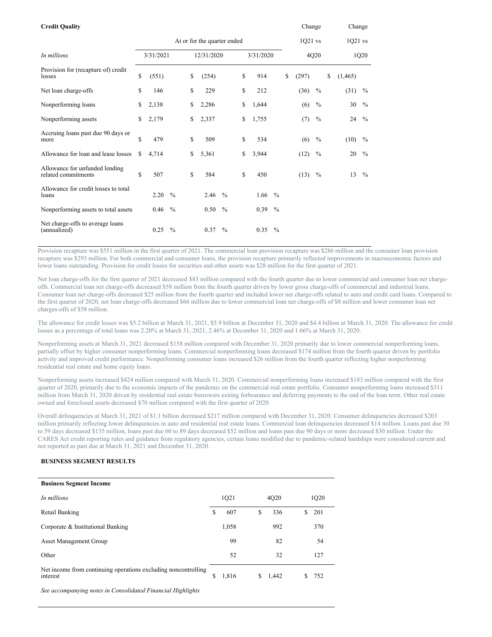| <b>Credit Quality</b>                                 | At or for the quarter ended |           |               |    |            |               |    | Change    |               | Change      |               |                |               |
|-------------------------------------------------------|-----------------------------|-----------|---------------|----|------------|---------------|----|-----------|---------------|-------------|---------------|----------------|---------------|
|                                                       |                             |           |               |    |            |               |    |           |               | 1Q21 vs     |               | $1Q21$ vs      |               |
| In millions                                           |                             | 3/31/2021 |               |    | 12/31/2020 |               |    | 3/31/2020 |               |             | 4Q20          |                | 1Q20          |
| Provision for (recapture of) credit<br>losses         | \$                          | (551)     |               | \$ | (254)      |               | \$ | 914       |               | \$<br>(297) |               | \$<br>(1, 465) |               |
| Net loan charge-offs                                  | \$                          | 146       |               | \$ | 229        |               | \$ | 212       |               | (36)        | $\frac{0}{0}$ | (31)           | $\%$          |
| Nonperforming loans                                   | \$                          | 2,138     |               | \$ | 2,286      |               | \$ | 1,644     |               | (6)         | $\frac{0}{0}$ | 30             | $\frac{0}{0}$ |
| Nonperforming assets                                  | \$                          | 2,179     |               | \$ | 2,337      |               | \$ | 1,755     |               | (7)         | $\frac{0}{0}$ | 24             | $\frac{0}{0}$ |
| Accruing loans past due 90 days or<br>more            | \$                          | 479       |               | \$ | 509        |               | S  | 534       |               | (6)         | $\%$          | (10)           | $\frac{0}{0}$ |
| Allowance for loan and lease losses                   | \$                          | 4,714     |               | \$ | 5,361      |               | \$ | 3,944     |               | (12)        | $\%$          | 20             | $\%$          |
| Allowance for unfunded lending<br>related commitments | \$                          | 507       |               | \$ | 584        |               | S  | 450       |               | $(13)$ %    |               | 13             | $\frac{0}{0}$ |
| Allowance for credit losses to total<br>loans         |                             | 2.20      | $\frac{0}{0}$ |    | 2.46       | $\frac{0}{0}$ |    | 1.66      | $\frac{0}{0}$ |             |               |                |               |
| Nonperforming assets to total assets                  |                             | 0.46      | $\frac{0}{0}$ |    | 0.50       | $\frac{0}{0}$ |    | 0.39      | $\frac{0}{0}$ |             |               |                |               |
| Net charge-offs to average loans<br>(annualized)      |                             | 0.25      | $\frac{0}{0}$ |    | 0.37       | $\frac{0}{0}$ |    | 0.35      | $\frac{0}{0}$ |             |               |                |               |

Provision recapture was \$551 million in the first quarter of 2021. The commercial loan provision recapture was \$286 million and the consumer loan provision recapture was \$293 million. For both commercial and consumer loans, the provision recapture primarily reflected improvements in macroeconomic factors and lower loans outstanding. Provision for credit losses for securities and other assets was \$28 million for the first quarter of 2021.

Net loan charge-offs for the first quarter of 2021 decreased \$83 million compared with the fourth quarter due to lower commercial and consumer loan net chargeoffs. Commercial loan net charge-offs decreased \$58 million from the fourth quarter driven by lower gross charge-offs of commercial and industrial loans. Consumer loan net charge-offs decreased \$25 million from the fourth quarter and included lower net charge-offs related to auto and credit card loans. Compared to the first quarter of 2020, net loan charge-offs decreased \$66 million due to lower commercial loan net charge-offs of \$8 million and lower consumer loan net charges-offs of \$58 million.

The allowance for credit losses was \$5.2 billion at March 31, 2021, \$5.9 billion at December 31, 2020 and \$4.4 billion at March 31, 2020. The allowance for credit losses as a percentage of total loans was 2.20% at March 31, 2021, 2.46% at December 31, 2020 and 1.66% at March 31, 2020.

Nonperforming assets at March 31, 2021 decreased \$158 million compared with December 31, 2020 primarily due to lower commercial nonperforming loans, partially offset by higher consumer nonperforming loans. Commercial nonperforming loans decreased \$174 million from the fourth quarter driven by portfolio activity and improved credit performance. Nonperforming consumer loans increased \$26 million from the fourth quarter reflecting higher nonperforming residential real estate and home equity loans.

Nonperforming assets increased \$424 million compared with March 31, 2020. Commercial nonperforming loans increased \$183 million compared with the first quarter of 2020, primarily due to the economic impacts of the pandemic on the commercial real estate portfolio. Consumer nonperforming loans increased \$311 million from March 31, 2020 driven by residential real estate borrowers exiting forbearance and deferring payments to the end of the loan term. Other real estate owned and foreclosed assets decreased \$70 million compared with the first quarter of 2020.

Overall delinquencies at March 31, 2021 of \$1.1 billion decreased \$217 million compared with December 31, 2020. Consumer delinquencies decreased \$203 million primarily reflecting lower delinquencies in auto and residential real estate loans. Commercial loan delinquencies decreased \$14 million. Loans past due 30 to 59 days decreased \$135 million, loans past due 60 to 89 days decreased \$52 million and loans past due 90 days or more decreased \$30 million. Under the CARES Act credit reporting rules and guidance from regulatory agencies, certain loans modified due to pandemic-related hardships were considered current and not reported as past due at March 31, 2021 and December 31, 2020.

# **BUSINESS SEGMENT RESULTS**

## **Business Segment Income**

| In millions                                                                | 1Q21        |    | 4Q20  |    | 1Q20 |  |
|----------------------------------------------------------------------------|-------------|----|-------|----|------|--|
| Retail Banking                                                             | \$<br>607   | S  | 336   | S  | 201  |  |
| Corporate & Institutional Banking                                          | 1,058       |    | 992   |    | 370  |  |
| <b>Asset Management Group</b>                                              | 99          |    | 82    |    | 54   |  |
| Other                                                                      | 52          |    | 32    |    | 127  |  |
| Net income from continuing operations excluding noncontrolling<br>interest | \$<br>1,816 | S. | 1,442 | \$ | 752  |  |
| $\sim$                                                                     |             |    |       |    |      |  |

*See accompanying notes in Consolidated Financial Highlights*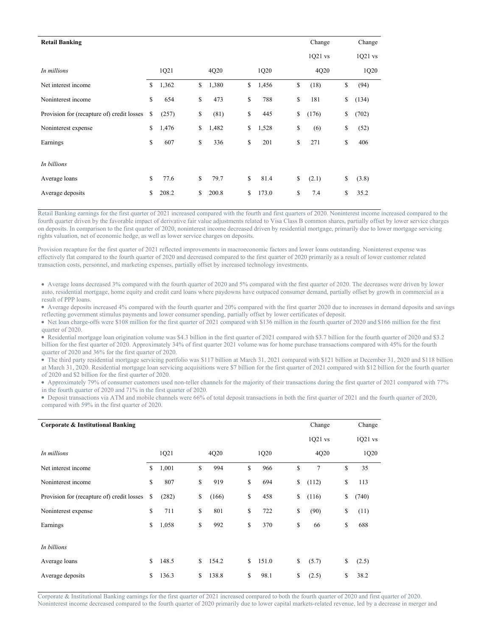| <b>Retail Banking</b>                      |             |             |             | Change      | Change      |
|--------------------------------------------|-------------|-------------|-------------|-------------|-------------|
|                                            |             |             |             | 1Q21 vs     | $1Q21$ vs   |
| In millions                                | 1Q21        | 4Q20        | 1Q20        | 4Q20        | 1Q20        |
| Net interest income                        | \$<br>1,362 | \$<br>1,380 | \$<br>1,456 | \$<br>(18)  | \$<br>(94)  |
| Noninterest income                         | \$<br>654   | \$<br>473   | \$<br>788   | \$<br>181   | \$<br>(134) |
| Provision for (recapture of) credit losses | \$<br>(257) | \$<br>(81)  | \$<br>445   | \$<br>(176) | \$<br>(702) |
| Noninterest expense                        | \$<br>1,476 | \$<br>1,482 | \$<br>1,528 | \$<br>(6)   | \$<br>(52)  |
| Earnings                                   | \$<br>607   | \$<br>336   | \$<br>201   | \$<br>271   | \$<br>406   |
| In billions                                |             |             |             |             |             |
| Average loans                              | \$<br>77.6  | \$<br>79.7  | \$<br>81.4  | \$<br>(2.1) | \$<br>(3.8) |
| Average deposits                           | \$<br>208.2 | \$<br>200.8 | \$<br>173.0 | \$<br>7.4   | \$<br>35.2  |

Retail Banking earnings for the first quarter of 2021 increased compared with the fourth and first quarters of 2020. Noninterest income increased compared to the fourth quarter driven by the favorable impact of derivative fair value adjustments related to Visa Class B common shares, partially offset by lower service charges on deposits. In comparison to the first quarter of 2020, noninterest income decreased driven by residential mortgage, primarily due to lower mortgage servicing rights valuation, net of economic hedge, as well as lower service charges on deposits.

Provision recapture for the first quarter of 2021 reflected improvements in macroeconomic factors and lower loans outstanding. Noninterest expense was effectively flat compared to the fourth quarter of 2020 and decreased compared to the first quarter of 2020 primarily as a result of lower customer related transaction costs, personnel, and marketing expenses, partially offset by increased technology investments.

Average loans decreased 3% compared with the fourth quarter of 2020 and 5% compared with the first quarter of 2020. The decreases were driven by lower auto, residential mortgage, home equity and credit card loans where paydowns have outpaced consumer demand, partially offset by growth in commercial as a result of PPP loans.

Average deposits increased 4% compared with the fourth quarter and 20% compared with the first quarter 2020 due to increases in demand deposits and savings reflecting government stimulus payments and lower consumer spending, partially offset by lower certificates of deposit.

• Net loan charge-offs were \$108 million for the first quarter of 2021 compared with \$136 million in the fourth quarter of 2020 and \$166 million for the first quarter of 2020.

• Residential mortgage loan origination volume was \$4.3 billion in the first quarter of 2021 compared with \$3.7 billion for the fourth quarter of 2020 and \$3.2 billion for the first quarter of 2020. Approximately 34% of first quarter 2021 volume was for home purchase transactions compared with 45% for the fourth quarter of 2020 and 36% for the first quarter of 2020.

• The third party residential mortgage servicing portfolio was \$117 billion at March 31, 2021 compared with \$121 billion at December 31, 2020 and \$118 billion at March 31, 2020. Residential mortgage loan servicing acquisitions were \$7 billion for the first quarter of 2021 compared with \$12 billion for the fourth quarter of 2020 and \$2 billion for the first quarter of 2020.

Approximately 79% of consumer customers used non-teller channels for the majority of their transactions during the first quarter of 2021 compared with 77% in the fourth quarter of 2020 and 71% in the first quarter of 2020.

Deposit transactions via ATM and mobile channels were 66% of total deposit transactions in both the first quarter of 2021 and the fourth quarter of 2020, compared with 59% in the first quarter of 2020.

| <b>Corporate &amp; Institutional Banking</b> |    |       |    |       |    |       | Change      | Change |           |
|----------------------------------------------|----|-------|----|-------|----|-------|-------------|--------|-----------|
|                                              |    |       |    |       |    |       | 1Q21 vs     |        | $1Q21$ vs |
| In millions                                  |    | 1Q21  |    | 4Q20  |    | 1Q20  | 4Q20        |        | 1Q20      |
| Net interest income                          | \$ | 1,001 | \$ | 994   | \$ | 966   | \$<br>7     | \$     | 35        |
| Noninterest income                           | \$ | 807   | \$ | 919   | \$ | 694   | \$<br>(112) | \$     | 113       |
| Provision for (recapture of) credit losses   | \$ | (282) | \$ | (166) | \$ | 458   | \$<br>(116) | \$     | (740)     |
| Noninterest expense                          | \$ | 711   | \$ | 801   | \$ | 722   | \$<br>(90)  | \$     | (11)      |
| Earnings                                     | \$ | 1,058 | \$ | 992   | \$ | 370   | \$<br>66    | \$     | 688       |
| In billions                                  |    |       |    |       |    |       |             |        |           |
| Average loans                                | \$ | 148.5 | \$ | 154.2 | \$ | 151.0 | \$<br>(5.7) | \$     | (2.5)     |
| Average deposits                             | \$ | 136.3 | S  | 138.8 | \$ | 98.1  | \$<br>(2.5) | \$     | 38.2      |

Corporate & Institutional Banking earnings for the first quarter of 2021 increased compared to both the fourth quarter of 2020 and first quarter of 2020. Noninterest income decreased compared to the fourth quarter of 2020 primarily due to lower capital markets-related revenue, led by a decrease in merger and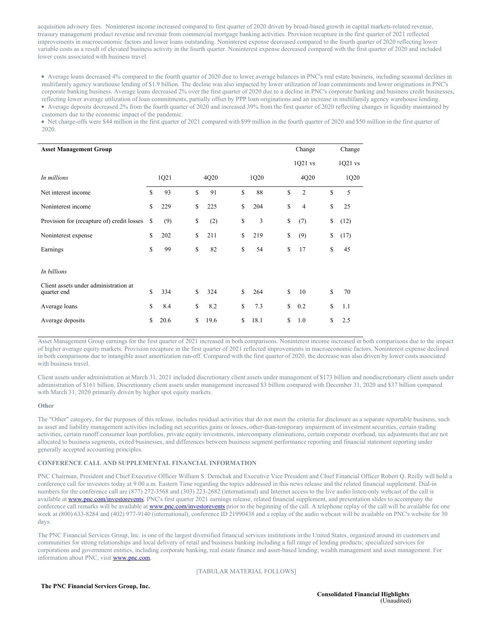acquisition advisory fees. Noninterest income increased compared to first quarter of 2020 driven by broad-based growth in capital markets-related revenue, treasury management product revenue and revenue from commercial mortgage banking activities. Provision recapture in the first quarter of 2021 reflected improvements in macroeconomic factors and lower loans outstanding. Noninterest expense decreased compared to the fourth quarter of 2020 reflecting lower variable costs as a result of elevated business activity in the fourth quarter. Noninterest expense decreased compared with the first quarter of 2020 and included lower costs associated with business travel.

Average loans decreased 4% compared to the fourth quarter of 2020 due to lower average balances in PNC's real estate business, including seasonal declines in multifamily agency warehouse lending of \$1.9 billion. The decline was also impacted by lower utilization of loan commitments and lower originations in PNC's corporate banking business. Average loans decreased 2% over the first quarter of 2020 due to a decline in PNC's corporate banking and business credit businesses, reflecting lower average utilization of loan commitments, partially offset by PPP loan originations and an increase in multifamily agency warehouse lending. Average deposits decreased 2% from the fourth quarter of 2020 and increased 39% from the first quarter of 2020 reflecting changes in liquidity maintained by customers due to the economic impact of the pandemic.

• Net charge-offs were \$44 million in the first quarter of 2021 compared with \$99 million in the fourth quarter of 2020 and \$50 million in the first quarter of 2020.

| <b>Asset Management Group</b>                        |            |            |            |    | Change         |    | Change    |
|------------------------------------------------------|------------|------------|------------|----|----------------|----|-----------|
|                                                      |            |            |            |    | $1Q21$ vs      |    | $1Q21$ vs |
| In millions                                          | 1Q21       | 4Q20       | 1Q20       |    | 4Q20           |    | 1Q20      |
| Net interest income                                  | \$<br>93   | \$<br>91   | \$<br>88   | S  | $\overline{2}$ | \$ | 5         |
| Noninterest income                                   | \$<br>229  | \$<br>225  | \$<br>204  | S  | $\overline{4}$ | \$ | 25        |
| Provision for (recapture of) credit losses           | \$<br>(9)  | \$<br>(2)  | \$<br>3    | \$ | (7)            | \$ | (12)      |
| Noninterest expense                                  | \$<br>202  | \$<br>211  | \$<br>219  | \$ | (9)            | \$ | (17)      |
| Earnings                                             | \$<br>99   | \$<br>82   | \$<br>54   | \$ | 17             | \$ | 45        |
| In billions                                          |            |            |            |    |                |    |           |
| Client assets under administration at<br>quarter end | \$<br>334  | \$<br>324  | \$<br>264  | S  | 10             | S  | 70        |
| Average loans                                        | \$<br>8.4  | \$<br>8.2  | \$<br>7.3  | \$ | 0.2            | \$ | 1.1       |
| Average deposits                                     | \$<br>20.6 | \$<br>19.6 | \$<br>18.1 | S  | 1.0            | \$ | 2.5       |

Asset Management Group earnings for the first quarter of 2021 increased in both comparisons. Noninterest income increased in both comparisons due to the impact of higher average equity markets. Provision recapture in the first quarter of 2021 reflected improvements in macroeconomic factors. Noninterest expense declined in both comparisons due to intangible asset amortization run-off. Compared with the first quarter of 2020, the decrease was also driven by lower costs associated with business travel.

Client assets under administration at March 31, 2021 included discretionary client assets under management of \$173 billion and nondiscretionary client assets under administration of \$161 billion. Discretionary client assets under management increased \$3 billion compared with December 31, 2020 and \$37 billion compared with March 31, 2020 primarily driven by higher spot equity markets.

#### **Other**

The "Other" category, for the purposes of this release, includes residual activities that do not meet the criteria for disclosure as a separate reportable business, such as asset and liability management activities including net securities gains or losses, other-than-temporary impairment of investment securities, certain trading activities, certain runoff consumer loan portfolios, private equity investments, intercompany eliminations, certain corporate overhead, tax adjustments that are not allocated to business segments, exited businesses, and differences between business segment performance reporting and financial statement reporting under generally accepted accounting principles.

## **CONFERENCE CALL AND SUPPLEMENTAL FINANCIAL INFORMATION**

PNC Chairman, President and Chief Executive Officer William S. Demchak and Executive Vice President and Chief Financial Officer Robert Q. Reilly will hold a conference call for investors today at 9:00 a.m. Eastern Time regarding the topics addressed in this news release and the related financial supplement. Dial-in numbers for the conference call are (877) 272-3568 and (303) 223-2682 (international) and Internet access to the live audio listen-only webcast of the call is available at [www.pnc.com/investorevents](https://c212.net/c/link/?t=0&l=en&o=3129753-1&h=1461328845&u=http%3A%2F%2Fwww.pnc.com%2Finvestorevents&a=www.pnc.com%2Finvestorevents). PNC's first quarter 2021 earnings release, related financial supplement, and presentation slides to accompany the conference call remarks will be available at [www.pnc.com/investorevents](https://c212.net/c/link/?t=0&l=en&o=3129753-1&h=1461328845&u=http%3A%2F%2Fwww.pnc.com%2Finvestorevents&a=www.pnc.com%2Finvestorevents) prior to the beginning of the call. A telephone replay of the call will be available for one week at (800) 633-8284 and (402) 977-9140 (international), conference ID 21990438 and a replay of the audio webcast will be available on PNC's website for 30 days.

The PNC Financial Services Group, Inc. is one of the largest diversified financial services institutions in the United States, organized around its customers and communities for strong relationships and local delivery of retail and business banking including a full range of lending products; specialized services for corporations and government entities, including corporate banking, real estate finance and asset-based lending; wealth management and asset management. For information about PNC, visit [www.pnc.com](https://c212.net/c/link/?t=0&l=en&o=3129753-1&h=3959146259&u=http%3A%2F%2Fwww.pnc.com%2F&a=www.pnc.com).

# [TABULAR MATERIAL FOLLOWS]

## **The PNC Financial Services Group, Inc.**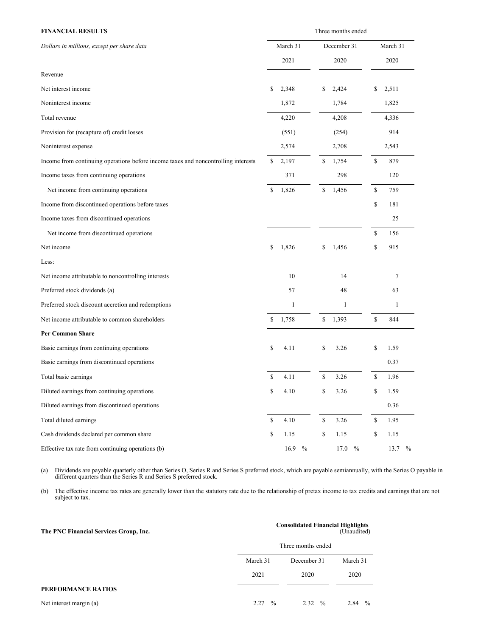| <b>FINANCIAL RESULTS</b>                                                           | Three months ended |              |    |             |    |                       |  |  |  |  |  |
|------------------------------------------------------------------------------------|--------------------|--------------|----|-------------|----|-----------------------|--|--|--|--|--|
| Dollars in millions, except per share data                                         |                    | March 31     |    | December 31 |    | March 31              |  |  |  |  |  |
|                                                                                    |                    | 2021         |    | 2020        |    | 2020                  |  |  |  |  |  |
| Revenue                                                                            |                    |              |    |             |    |                       |  |  |  |  |  |
| Net interest income                                                                | \$                 | 2,348        | \$ | 2,424       | \$ | 2,511                 |  |  |  |  |  |
| Noninterest income                                                                 |                    | 1,872        |    | 1,784       |    | 1,825                 |  |  |  |  |  |
| Total revenue                                                                      |                    | 4,220        |    | 4,208       |    | 4,336                 |  |  |  |  |  |
| Provision for (recapture of) credit losses                                         |                    | (551)        |    | (254)       |    | 914                   |  |  |  |  |  |
| Noninterest expense                                                                |                    | 2,574        |    | 2,708       |    | 2,543                 |  |  |  |  |  |
| Income from continuing operations before income taxes and noncontrolling interests | \$                 | 2,197        | \$ | 1,754       | \$ | 879                   |  |  |  |  |  |
| Income taxes from continuing operations                                            |                    | 371          |    | 298         |    | 120                   |  |  |  |  |  |
| Net income from continuing operations                                              | \$                 | 1,826        | \$ | 1,456       | \$ | 759                   |  |  |  |  |  |
| Income from discontinued operations before taxes                                   |                    |              |    |             | \$ | 181                   |  |  |  |  |  |
| Income taxes from discontinued operations                                          |                    |              |    |             |    | 25                    |  |  |  |  |  |
| Net income from discontinued operations                                            |                    |              |    |             | \$ | 156                   |  |  |  |  |  |
| Net income                                                                         | \$                 | 1,826        | \$ | 1,456       | \$ | 915                   |  |  |  |  |  |
| Less:                                                                              |                    |              |    |             |    |                       |  |  |  |  |  |
| Net income attributable to noncontrolling interests                                |                    | 10           |    | 14          |    | 7                     |  |  |  |  |  |
| Preferred stock dividends (a)                                                      |                    | 57           |    | 48          |    | 63                    |  |  |  |  |  |
| Preferred stock discount accretion and redemptions                                 |                    | $\mathbf{1}$ |    | 1           |    | 1                     |  |  |  |  |  |
| Net income attributable to common shareholders                                     | \$                 | 1,758        | \$ | 1,393       | \$ | 844                   |  |  |  |  |  |
| <b>Per Common Share</b>                                                            |                    |              |    |             |    |                       |  |  |  |  |  |
| Basic earnings from continuing operations                                          | \$                 | 4.11         | \$ | 3.26        | \$ | 1.59                  |  |  |  |  |  |
| Basic earnings from discontinued operations                                        |                    |              |    |             |    | 0.37                  |  |  |  |  |  |
| Total basic earnings                                                               | \$                 | 4.11         | \$ | 3.26        | \$ | 1.96                  |  |  |  |  |  |
| Diluted earnings from continuing operations                                        | \$                 | 4.10         | \$ | 3.26        | \$ | 1.59                  |  |  |  |  |  |
| Diluted earnings from discontinued operations                                      |                    |              |    |             |    | 0.36                  |  |  |  |  |  |
| Total diluted earnings                                                             | \$                 | 4.10         | \$ | 3.26        | \$ | 1.95                  |  |  |  |  |  |
| Cash dividends declared per common share                                           | \$                 | 1.15         | \$ | 1.15        | \$ | 1.15                  |  |  |  |  |  |
| Effective tax rate from continuing operations (b)                                  |                    | 16.9 $\%$    |    | $17.0\,%$   |    | 13.7<br>$\frac{0}{0}$ |  |  |  |  |  |

(a) Dividends are payable quarterly other than Series O, Series R and Series S preferred stock, which are payable semiannually, with the Series O payable in different quarters than the Series R and Series S preferred stock.

(b) The effective income tax rates are generally lower than the statutory rate due to the relationship of pretax income to tax credits and earnings that are not subject to tax.

| The PNC Financial Services Group, Inc. | <b>Consolidated Financial Highlights</b><br>(Unaudited) |                       |                       |  |  |  |  |  |  |
|----------------------------------------|---------------------------------------------------------|-----------------------|-----------------------|--|--|--|--|--|--|
|                                        |                                                         | Three months ended    |                       |  |  |  |  |  |  |
|                                        | March 31                                                | December 31           | March 31              |  |  |  |  |  |  |
|                                        | 2021                                                    | 2020                  | 2020                  |  |  |  |  |  |  |
| PERFORMANCE RATIOS                     |                                                         |                       |                       |  |  |  |  |  |  |
| Net interest margin (a)                | 2.27<br>$\frac{0}{0}$                                   | $\frac{0}{0}$<br>2.32 | 2.84<br>$\frac{0}{0}$ |  |  |  |  |  |  |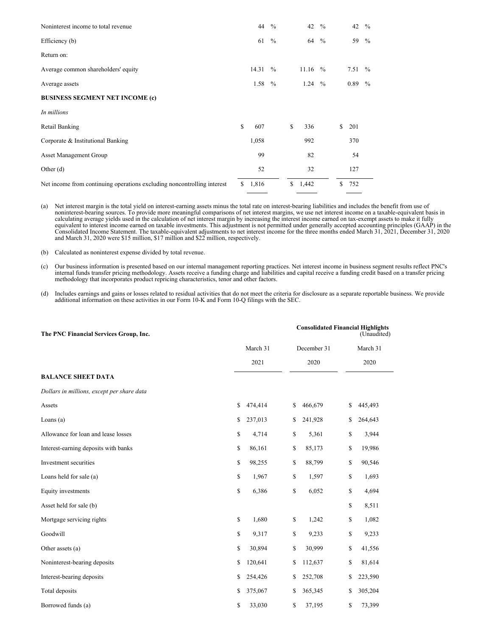| Noninterest income to total revenue                                     |               | 44    | $\frac{0}{0}$ | 42        | $\frac{0}{0}$ | 42        | $\frac{0}{0}$ |
|-------------------------------------------------------------------------|---------------|-------|---------------|-----------|---------------|-----------|---------------|
| Efficiency (b)                                                          |               | 61    | $\frac{0}{0}$ | 64        | $\frac{0}{0}$ | 59        | $\frac{0}{0}$ |
| Return on:                                                              |               |       |               |           |               |           |               |
| Average common shareholders' equity                                     |               | 14.31 | $\frac{0}{0}$ | $11.16\%$ |               | 7.51 $\%$ |               |
| Average assets                                                          |               | 1.58  | $\frac{0}{0}$ | $1.24\%$  |               | 0.89      | $\frac{0}{0}$ |
| <b>BUSINESS SEGMENT NET INCOME (c)</b>                                  |               |       |               |           |               |           |               |
| In millions                                                             |               |       |               |           |               |           |               |
| Retail Banking                                                          | S             | 607   |               | \$<br>336 |               | \$<br>201 |               |
| Corporate & Institutional Banking                                       |               | 1,058 |               | 992       |               | 370       |               |
| <b>Asset Management Group</b>                                           |               | 99    |               | 82        |               | 54        |               |
| Other $(d)$                                                             |               | 52    |               | 32        |               | 127       |               |
| Net income from continuing operations excluding noncontrolling interest | <sup>\$</sup> | 1,816 |               | \$1,442   |               | \$<br>752 |               |

(a) Net interest margin is the total yield on interest-earning assets minus the total rate on interest-bearing liabilities and includes the benefit from use of<br>noninterest-bearing sources. To provide more meaningful compar

(b) Calculated as noninterest expense divided by total revenue.

(c) Our business information is presented based on our internal management reporting practices. Net interest income in business segment results reflect PNC's internal funds transfer pricing methodology. Assets receive a fu

(d) Includes earnings and gains or losses related to residual activities that do not meet the criteria for disclosure as a separate reportable business. We provide additional information on these activities in our Form 10-K and Form 10-Q filings with the SEC.

| The PNC Financial Services Group, Inc.     |               | <b>Consolidated Financial Highlights</b><br>(Unaudited) |    |          |  |  |
|--------------------------------------------|---------------|---------------------------------------------------------|----|----------|--|--|
|                                            | March 31      | December 31                                             |    | March 31 |  |  |
|                                            | 2021          | 2020                                                    |    | 2020     |  |  |
| <b>BALANCE SHEET DATA</b>                  |               |                                                         |    |          |  |  |
| Dollars in millions, except per share data |               |                                                         |    |          |  |  |
| Assets                                     | \$<br>474,414 | \$<br>466,679                                           | \$ | 445,493  |  |  |
| Loans $(a)$                                | \$<br>237,013 | \$<br>241,928                                           | \$ | 264,643  |  |  |
| Allowance for loan and lease losses        | \$<br>4,714   | \$<br>5,361                                             | \$ | 3,944    |  |  |
| Interest-earning deposits with banks       | \$<br>86,161  | \$<br>85,173                                            | \$ | 19,986   |  |  |
| Investment securities                      | \$<br>98,255  | \$<br>88,799                                            | \$ | 90,546   |  |  |
| Loans held for sale (a)                    | \$<br>1,967   | \$<br>1,597                                             | \$ | 1,693    |  |  |
| Equity investments                         | \$<br>6,386   | \$<br>6,052                                             | \$ | 4,694    |  |  |
| Asset held for sale (b)                    |               |                                                         | \$ | 8,511    |  |  |
| Mortgage servicing rights                  | \$<br>1,680   | \$<br>1,242                                             | \$ | 1,082    |  |  |
| Goodwill                                   | \$<br>9,317   | \$<br>9,233                                             | \$ | 9,233    |  |  |
| Other assets (a)                           | \$<br>30,894  | \$<br>30,999                                            | \$ | 41,556   |  |  |
| Noninterest-bearing deposits               | \$<br>120,641 | \$<br>112,637                                           | \$ | 81,614   |  |  |
| Interest-bearing deposits                  | \$<br>254,426 | \$<br>252,708                                           | \$ | 223,590  |  |  |
| Total deposits                             | \$<br>375,067 | \$<br>365,345                                           | \$ | 305,204  |  |  |
| Borrowed funds (a)                         | \$<br>33,030  | \$<br>37,195                                            | \$ | 73,399   |  |  |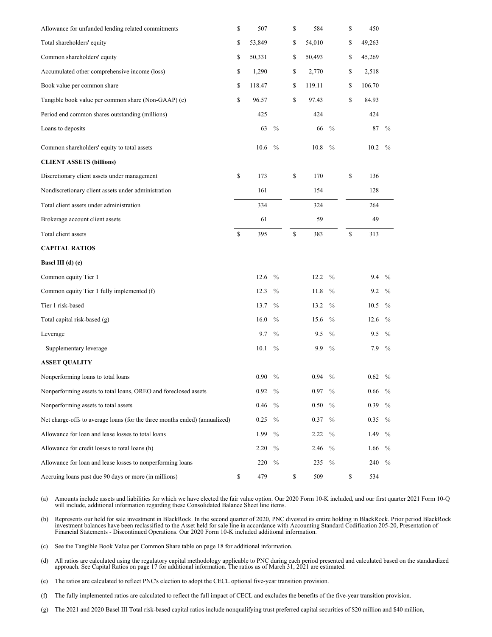| Allowance for unfunded lending related commitments                         | \$<br>507    |               | \$<br>584    |               | \$<br>450    |               |
|----------------------------------------------------------------------------|--------------|---------------|--------------|---------------|--------------|---------------|
| Total shareholders' equity                                                 | \$<br>53,849 |               | \$<br>54,010 |               | \$<br>49,263 |               |
| Common shareholders' equity                                                | \$<br>50,331 |               | \$<br>50,493 |               | \$<br>45,269 |               |
| Accumulated other comprehensive income (loss)                              | \$<br>1,290  |               | \$<br>2,770  |               | \$<br>2,518  |               |
| Book value per common share                                                | \$<br>118.47 |               | \$<br>119.11 |               | \$<br>106.70 |               |
| Tangible book value per common share (Non-GAAP) (c)                        | \$<br>96.57  |               | \$<br>97.43  |               | \$<br>84.93  |               |
| Period end common shares outstanding (millions)                            | 425          |               | 424          |               | 424          |               |
| Loans to deposits                                                          | 63           | $\frac{0}{0}$ | 66           | $\frac{0}{0}$ | 87           | $\%$          |
| Common shareholders' equity to total assets                                | 10.6         | $\frac{0}{0}$ | 10.8         | $\frac{0}{0}$ | 10.2         | $\frac{0}{0}$ |
| <b>CLIENT ASSETS (billions)</b>                                            |              |               |              |               |              |               |
| Discretionary client assets under management                               | \$<br>173    |               | \$<br>170    |               | \$<br>136    |               |
| Nondiscretionary client assets under administration                        | 161          |               | 154          |               | 128          |               |
| Total client assets under administration                                   | 334          |               | 324          |               | 264          |               |
| Brokerage account client assets                                            | 61           |               | 59           |               | 49           |               |
| Total client assets                                                        | \$<br>395    |               | \$<br>383    |               | \$<br>313    |               |
| <b>CAPITAL RATIOS</b>                                                      |              |               |              |               |              |               |
| Basel III (d) (e)                                                          |              |               |              |               |              |               |
| Common equity Tier 1                                                       | 12.6         | $\frac{0}{0}$ | 12.2         | $\frac{0}{0}$ | 9.4          | $\%$          |
| Common equity Tier 1 fully implemented (f)                                 | 12.3         | $\%$          | 11.8         | $\frac{0}{0}$ | 9.2          | $\%$          |
| Tier 1 risk-based                                                          | 13.7         | $\frac{0}{0}$ | 13.2         | $\frac{0}{0}$ | 10.5         | $\frac{0}{0}$ |
| Total capital risk-based (g)                                               | 16.0         | $\%$          | 15.6         | $\%$          | 12.6         | $\%$          |
| Leverage                                                                   | 9.7          | $\frac{0}{0}$ | 9.5          | $\frac{0}{0}$ | 9.5          | $\%$          |
| Supplementary leverage                                                     | 10.1         | $\frac{0}{0}$ | 9.9          | $\frac{0}{0}$ | 7.9          | $\%$          |
| <b>ASSET QUALITY</b>                                                       |              |               |              |               |              |               |
| Nonperforming loans to total loans                                         | 0.90         | $\%$          | 0.94         | $\%$          | 0.62         | $\%$          |
| Nonperforming assets to total loans, OREO and foreclosed assets            | 0.92         | $\frac{0}{0}$ | 0.97         | $\frac{0}{0}$ | 0.66         | $\frac{0}{0}$ |
| Nonperforming assets to total assets                                       | 0.46         | $\frac{0}{0}$ | 0.50         | $\frac{0}{0}$ | 0.39         | $\%$          |
| Net charge-offs to average loans (for the three months ended) (annualized) | 0.25         | $\frac{0}{0}$ | 0.37         | $\frac{0}{0}$ | 0.35         | $\%$          |
| Allowance for loan and lease losses to total loans                         | 1.99         | $\frac{0}{0}$ | 2.22         | $\frac{0}{0}$ | 1.49         | $\%$          |
| Allowance for credit losses to total loans (h)                             | 2.20         | $\frac{0}{0}$ | 2.46         | $\frac{0}{0}$ | 1.66         | $\%$          |
| Allowance for loan and lease losses to nonperforming loans                 | 220          | $\frac{0}{0}$ | 235          | $\frac{0}{0}$ | 240          | $\%$          |
| Accruing loans past due 90 days or more (in millions)                      | \$<br>479    |               | \$<br>509    |               | \$<br>534    |               |

(a) Amounts include assets and liabilities for which we have elected the fair value option. Our 2020 Form 10-K included, and our first quarter 2021 Form 10-Q will include, additional information regarding these Consolidated Balance Sheet line items.

(b) Represents our held for sale investment in BlackRock. In the second quarter of 2020, PNC divested its entire holding in BlackRock. Prior period BlackRock investment balances have been reclassified to the Asset held for sale line in accordance with Accounting Standard Codification 205-20, Presentation of<br>Financial Statements - Discontinued Operations. Our 2020 Form 10-K incl

(c) See the Tangible Book Value per Common Share table on page 18 for additional information.

(d) All ratios are calculated using the regulatory capital methodology applicable to PNC during each period presented and calculated based on the standardized approach. See Capital Ratios on page 17 for additional informat

(e) The ratios are calculated to reflect PNC's election to adopt the CECL optional five-year transition provision.

(f) The fully implemented ratios are calculated to reflect the full impact of CECL and excludes the benefits of the five-year transition provision.

(g) The 2021 and 2020 Basel III Total risk-based capital ratios include nonqualifying trust preferred capital securities of \$20 million and \$40 million,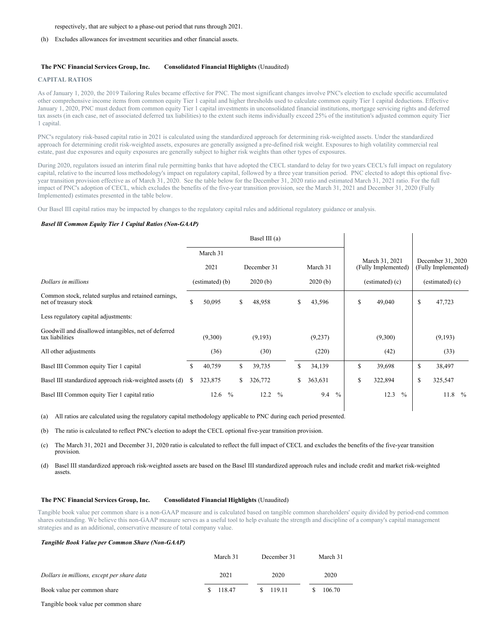respectively, that are subject to a phase-out period that runs through 2021.

(h) Excludes allowances for investment securities and other financial assets.

#### **The PNC Financial Services Group, Inc. Consolidated Financial Highlights** (Unaudited)

#### **CAPITAL RATIOS**

As of January 1, 2020, the 2019 Tailoring Rules became effective for PNC. The most significant changes involve PNC's election to exclude specific accumulated other comprehensive income items from common equity Tier 1 capital and higher thresholds used to calculate common equity Tier 1 capital deductions. Effective January 1, 2020, PNC must deduct from common equity Tier 1 capital investments in unconsolidated financial institutions, mortgage servicing rights and deferred tax assets (in each case, net of associated deferred tax liabilities) to the extent such items individually exceed 25% of the institution's adjusted common equity Tier 1 capital.

PNC's regulatory risk-based capital ratio in 2021 is calculated using the standardized approach for determining risk-weighted assets. Under the standardized approach for determining credit risk-weighted assets, exposures are generally assigned a pre-defined risk weight. Exposures to high volatility commercial real estate, past due exposures and equity exposures are generally subject to higher risk weights than other types of exposures.

During 2020, regulators issued an interim final rule permitting banks that have adopted the CECL standard to delay for two years CECL's full impact on regulatory capital, relative to the incurred loss methodology's impact on regulatory capital, followed by a three year transition period. PNC elected to adopt this optional fiveyear transition provision effective as of March 31, 2020. See the table below for the December 31, 2020 ratio and estimated March 31, 2021 ratio. For the full impact of PNC's adoption of CECL, which excludes the benefits of the five-year transition provision, see the March 31, 2021 and December 31, 2020 (Fully Implemented) estimates presented in the table below.

Our Basel III capital ratios may be impacted by changes to the regulatory capital rules and additional regulatory guidance or analysis.

#### *Basel lll Common Equity Tier 1 Capital Ratios (Non-GAAP)*

|                                                                               | Basel III (a) |                 |               |         |             |               |         |          |                   |    |                                       |                   |    |                                          |               |
|-------------------------------------------------------------------------------|---------------|-----------------|---------------|---------|-------------|---------------|---------|----------|-------------------|----|---------------------------------------|-------------------|----|------------------------------------------|---------------|
|                                                                               |               | March 31        |               |         |             |               |         |          |                   |    |                                       |                   |    |                                          |               |
|                                                                               |               | 2021            |               |         | December 31 |               |         | March 31 |                   |    | March 31, 2021<br>(Fully Implemented) |                   |    | December 31, 2020<br>(Fully Implemented) |               |
| Dollars in millions                                                           |               | (estimated) (b) |               | 2020(b) |             |               | 2020(b) |          | $(estimated)$ (c) |    |                                       | $(estimated)$ (c) |    |                                          |               |
| Common stock, related surplus and retained earnings,<br>net of treasury stock | \$            | 50,095          |               | \$      | 48,958      |               | \$      | 43,596   |                   | \$ | 49,040                                |                   | \$ | 47,723                                   |               |
| Less regulatory capital adjustments:                                          |               |                 |               |         |             |               |         |          |                   |    |                                       |                   |    |                                          |               |
| Goodwill and disallowed intangibles, net of deferred<br>tax liabilities       |               | (9,300)         |               |         | (9,193)     |               |         | (9,237)  |                   |    | (9,300)                               |                   |    | (9,193)                                  |               |
| All other adjustments                                                         |               | (36)            |               |         | (30)        |               |         | (220)    |                   |    | (42)                                  |                   |    | (33)                                     |               |
| Basel III Common equity Tier 1 capital                                        | \$            | 40,759          |               | \$      | 39,735      |               | \$      | 34,139   |                   | S. | 39,698                                |                   | \$ | 38,497                                   |               |
| Basel III standardized approach risk-weighted assets (d)                      | S             | 323,875         |               | S.      | 326,772     |               | \$      | 363,631  |                   | S  | 322,894                               |                   | \$ | 325,547                                  |               |
| Basel III Common equity Tier 1 capital ratio                                  |               | 12.6            | $\frac{0}{0}$ |         | 12.2        | $\frac{0}{0}$ |         | 9.4      | $\frac{0}{0}$     |    | 12.3                                  | $\frac{0}{0}$     |    | 11.8                                     | $\frac{0}{0}$ |

(a) All ratios are calculated using the regulatory capital methodology applicable to PNC during each period presented.

(b) The ratio is calculated to reflect PNC's election to adopt the CECL optional five-year transition provision.

(c) The March 31, 2021 and December 31, 2020 ratio is calculated to reflect the full impact of CECL and excludes the benefits of the five-year transition provision.

(d) Basel III standardized approach risk-weighted assets are based on the Basel III standardized approach rules and include credit and market risk-weighted assets.

#### **The PNC Financial Services Group, Inc. Consolidated Financial Highlights** (Unaudited)

Tangible book value per common share is a non-GAAP measure and is calculated based on tangible common shareholders' equity divided by period-end common shares outstanding. We believe this non-GAAP measure serves as a useful tool to help evaluate the strength and discipline of a company's capital management strategies and as an additional, conservative measure of total company value.

#### *Tangible Book Value per Common Share (Non-GAAP)*

|                                            | March 31 | December 31 | March 31 |
|--------------------------------------------|----------|-------------|----------|
| Dollars in millions, except per share data | 2021     | 2020        | 2020     |
| Book value per common share                | 118.47   | \$119.11    | 106.70   |

Tangible book value per common share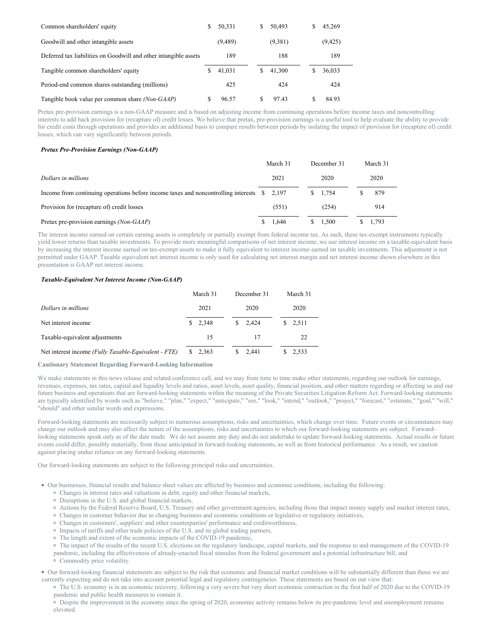| Common shareholders' equity                                      | S | 50,331   | S. | 50,493  | S | 45,269  |  |
|------------------------------------------------------------------|---|----------|----|---------|---|---------|--|
| Goodwill and other intangible assets                             |   | (9, 489) |    | (9,381) |   | (9,425) |  |
| Deferred tax liabilities on Goodwill and other intangible assets |   | 189      |    | 188     |   | 189     |  |
| Tangible common shareholders' equity                             |   | 41.031   | S. | 41,300  |   | 36,033  |  |
| Period-end common shares outstanding (millions)                  |   | 425      |    | 424     |   | 424     |  |
| Tangible book value per common share <i>(Non-GAAP)</i>           |   | 96.57    | S  | 97.43   |   | 84.93   |  |

Pretax pre-provision earnings is a non-GAAP measure and is based on adjusting income from continuing operations before income taxes and noncontrolling interests to add back provision for (recapture of) credit losses. We believe that pretax, pre-provision earnings is a useful tool to help evaluate the ability to provide for credit costs through operations and provides an additional basis to compare results between periods by isolating the impact of provision for (recapture of) credit losses, which can vary significantly between periods.

## *Pretax Pre-Provision Earnings (Non-GAAP)*

|                                                                                                     |      | March 31 |      | December 31 |      | March 31 |  |
|-----------------------------------------------------------------------------------------------------|------|----------|------|-------------|------|----------|--|
| Dollars in millions                                                                                 | 2021 |          | 2020 |             | 2020 |          |  |
| Income from continuing operations before income taxes and noncontrolling interests $\quad$ \$ 2,197 |      |          |      | \$1.754     |      | 879      |  |
| Provision for (recapture of) credit losses                                                          |      | (551)    |      | (254)       |      | 914      |  |
| Pretax pre-provision earnings (Non-GAAP)                                                            |      | 1.646    |      | 1.500       |      | 1.793    |  |

The interest income earned on certain earning assets is completely or partially exempt from federal income tax. As such, these tax-exempt instruments typically yield lower returns than taxable investments. To provide more meaningful comparisons of net interest income, we use interest income on a taxable-equivalent basis by increasing the interest income earned on tax-exempt assets to make it fully equivalent to interest income earned on taxable investments. This adjustment is not permitted under GAAP. Taxable equivalent net interest income is only used for calculating net interest margin and net interest income shown elsewhere in this presentation is GAAP net interest income.

#### *Taxable-Equivalent Net Interest Income (Non-GAAP)*

|                                                      | March 31 | December 31        | March 31    |
|------------------------------------------------------|----------|--------------------|-------------|
| Dollars in millions                                  | 2021     | 2020               | 2020        |
| Net interest income                                  | \$2.348  | $\frac{\$}{2.424}$ | 2.511<br>S. |
| Taxable-equivalent adjustments                       | 15       | 17                 | 22          |
| Net interest income (Fully Taxable-Equivalent - FTE) | 2,363    | 2.441              | 2.533       |

#### **Cautionary Statement Regarding Forward-Looking Information**

We make statements in this news release and related conference call, and we may from time to time make other statements, regarding our outlook for earnings, revenues, expenses, tax rates, capital and liquidity levels and ratios, asset levels, asset quality, financial position, and other matters regarding or affecting us and our future business and operations that are forward-looking statements within the meaning of the Private Securities Litigation Reform Act. Forward-looking statements are typically identified by words such as "believe," "plan," "expect," "anticipate," "see," "look," "intend," "outlook," "project," "forecast," "estimate," "goal," "will," "should" and other similar words and expressions.

Forward-looking statements are necessarily subject to numerous assumptions, risks and uncertainties, which change over time. Future events or circumstances may change our outlook and may also affect the nature of the assumptions, risks and uncertainties to which our forward-looking statements are subject. Forwardlooking statements speak only as of the date made. We do not assume any duty and do not undertake to update forward-looking statements. Actual results or future events could differ, possibly materially, from those anticipated in forward-looking statements, as well as from historical performance. As a result, we caution against placing undue reliance on any forward-looking statements.

Our forward-looking statements are subject to the following principal risks and uncertainties.

- Our businesses, financial results and balance sheet values are affected by business and economic conditions, including the following:
	- Changes in interest rates and valuations in debt, equity and other financial markets,
	- Disruptions in the U.S. and global financial markets,
	- Actions by the Federal Reserve Board, U.S. Treasury and other government agencies, including those that impact money supply and market interest rates,
	- Changes in customer behavior due to changing business and economic conditions or legislative or regulatory initiatives,
	- Changes in customers', suppliers' and other counterparties' performance and creditworthiness,
	- <sup>o</sup> Impacts of tariffs and other trade policies of the U.S. and its global trading partners,
	- The length and extent of the economic impacts of the COVID-19 pandemic,

The impact of the results of the recent U.S. elections on the regulatory landscape, capital markets, and the response to and management of the COVID-19

- pandemic, including the effectiveness of already-enacted fiscal stimulus from the federal government and a potential infrastructure bill, and
- Commodity price volatility.

Our forward-looking financial statements are subject to the risk that economic and financial market conditions will be substantially different than those we are currently expecting and do not take into account potential legal and regulatory contingencies. These statements are based on our view that:

The U.S. economy is in an economic recovery, following a very severe but very short economic contraction in the first half of 2020 due to the COVID-19 pandemic and public health measures to contain it.

Despite the improvement in the economy since the spring of 2020, economic activity remains below its pre-pandemic level and unemployment remains elevated.